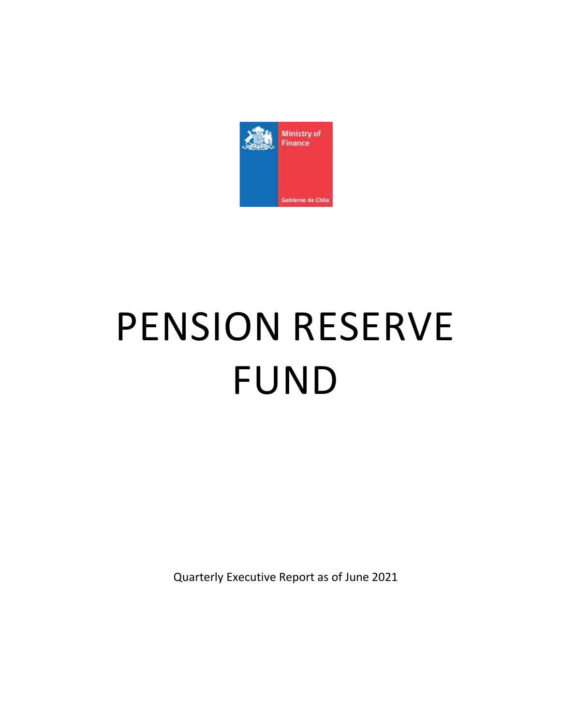

# PENSION RESERVE FUND

Quarterly Executive Report as of June 2021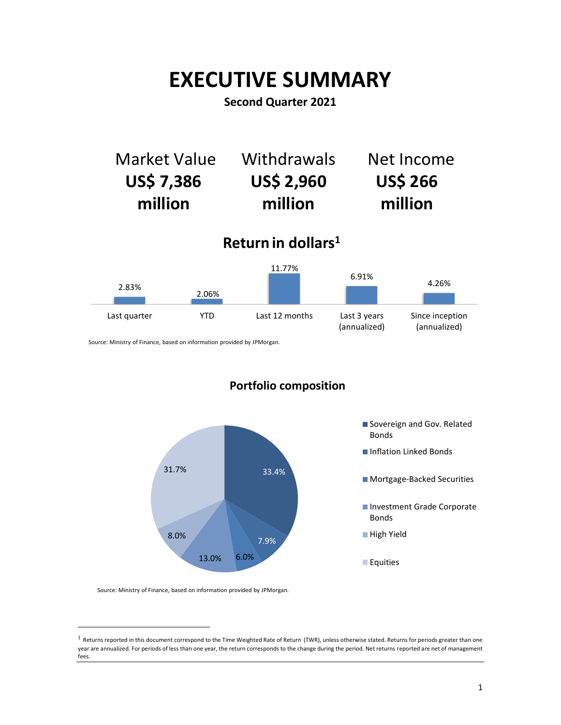# **EXECUTIVE SUMMARY**

## **Second Quarter 2021**





Source: Ministry of Finance, based on information provided by JPMorgan.

# **Portfolio composition**



Source: Ministry of Finance, based on information provided by JPMorgan.

 $\overline{a}$ 

 $1$  Returns reported in this document correspond to the Time Weighted Rate of Return (TWR), unless otherwise stated. Returns for periods greater than one year are annualized. For periods of less than one year, the return corresponds to the change during the period. Net returns reported are net of management fees.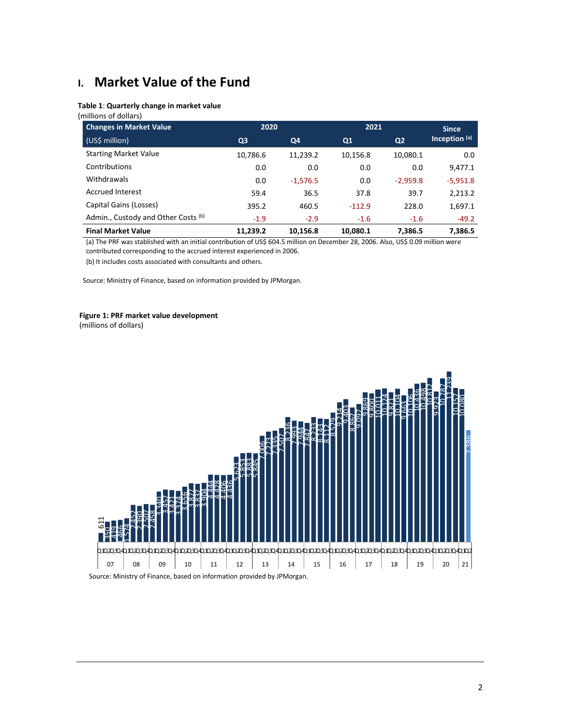# **I. Market Value of the Fund**

#### **Table 1**: **Quarterly change in market value**

(millions of dollars)

| <b>Changes in Market Value</b>      | 2020           |            | 2021     |                | <b>Since</b>  |
|-------------------------------------|----------------|------------|----------|----------------|---------------|
| (US\$ million)                      | Q <sub>3</sub> | Q4         | Q1       | Q <sub>2</sub> | Inception (a) |
| <b>Starting Market Value</b>        | 10,786.6       | 11,239.2   | 10,156.8 | 10,080.1       | 0.0           |
| Contributions                       | 0.0            | 0.0        | 0.0      | 0.0            | 9,477.1       |
| Withdrawals                         | 0.0            | $-1,576.5$ | 0.0      | $-2,959.8$     | $-5,951.8$    |
| <b>Accrued Interest</b>             | 59.4           | 36.5       | 37.8     | 39.7           | 2,213.2       |
| Capital Gains (Losses)              | 395.2          | 460.5      | $-112.9$ | 228.0          | 1,697.1       |
| Admin., Custody and Other Costs (b) | $-1.9$         | $-2.9$     | $-1.6$   | $-1.6$         | $-49.2$       |
| <b>Final Market Value</b>           | 11,239.2       | 10,156.8   | 10,080.1 | 7,386.5        | 7,386.5       |

(a) The PRF was stablished with an initial contribution of US\$ 604.5 million on December 28, 2006. Also, US\$ 0.09 million were contributed corresponding to the accrued interest experienced in 2006.

(b) It includes costs associated with consultants and others.

Source: Ministry of Finance, based on information provided by JPMorgan.

#### **Figure 1: PRF market value development**

(millions of dollars)



2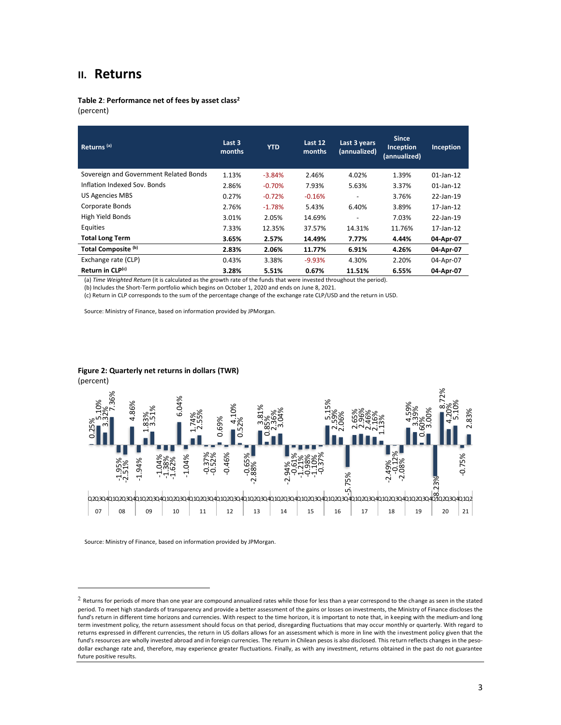### **II. Returns**

**Table 2**: **Performance net of fees by asset class<sup>2</sup>** (percent)

| Returns <sup>(a)</sup>                 | Last 3<br>months | <b>YTD</b> | Last 12<br>months | Last 3 years<br>(annualized) | <b>Since</b><br>Inception<br>(annualized) | Inception    |
|----------------------------------------|------------------|------------|-------------------|------------------------------|-------------------------------------------|--------------|
| Sovereign and Government Related Bonds | 1.13%            | $-3.84%$   | 2.46%             | 4.02%                        | 1.39%                                     | $01$ -Jan-12 |
| Inflation Indexed Sov. Bonds           | 2.86%            | $-0.70%$   | 7.93%             | 5.63%                        | 3.37%                                     | $01$ -Jan-12 |
| <b>US Agencies MBS</b>                 | 0.27%            | $-0.72%$   | $-0.16%$          |                              | 3.76%                                     | 22-Jan-19    |
| Corporate Bonds                        | 2.76%            | $-1.78%$   | 5.43%             | 6.40%                        | 3.89%                                     | 17-Jan-12    |
| High Yield Bonds                       | 3.01%            | 2.05%      | 14.69%            | $\overline{\phantom{a}}$     | 7.03%                                     | 22-Jan-19    |
| Equities                               | 7.33%            | 12.35%     | 37.57%            | 14.31%                       | 11.76%                                    | 17-Jan-12    |
| <b>Total Long Term</b>                 | 3.65%            | 2.57%      | 14.49%            | 7.77%                        | 4.44%                                     | 04-Apr-07    |
| Total Composite <sup>(b)</sup>         | 2.83%            | 2.06%      | 11.77%            | 6.91%                        | 4.26%                                     | 04-Apr-07    |
| Exchange rate (CLP)                    | 0.43%            | 3.38%      | $-9.93%$          | 4.30%                        | 2.20%                                     | 04-Apr-07    |
| Return in CLP(c)                       | 3.28%            | 5.51%      | 0.67%             | 11.51%                       | 6.55%                                     | 04-Apr-07    |

(a) *Time Weighted Return* (it is calculated as the growth rate of the funds that were invested throughout the period).

(b) Includes the Short-Term portfolio which begins on October 1, 2020 and ends on June 8, 2021.

(c) Return in CLP corresponds to the sum of the percentage change of the exchange rate CLP/USD and the return in USD.

Source: Ministry of Finance, based on information provided by JPMorgan.

#### **Figure 2: Quarterly net returns in dollars (TWR)**

(percent)

 $\overline{a}$ 



 $2$  Returns for periods of more than one year are compound annualized rates while those for less than a year correspond to the change as seen in the stated period. To meet high standards of transparency and provide a better assessment of the gains or losses on investments, the Ministry of Finance discloses the fund's return in different time horizons and currencies. With respect to the time horizon, it is important to note that, in keeping with the medium-and long term investment policy, the return assessment should focus on that period, disregarding fluctuations that may occur monthly or quarterly. With regard to returns expressed in different currencies, the return in US dollars allows for an assessment which is more in line with the investment policy given that the fund's resources are wholly invested abroad and in foreign currencies. The return in Chilean pesos is also disclosed. This return reflects changes in the pesodollar exchange rate and, therefore, may experience greater fluctuations. Finally, as with any investment, returns obtained in the past do not guarantee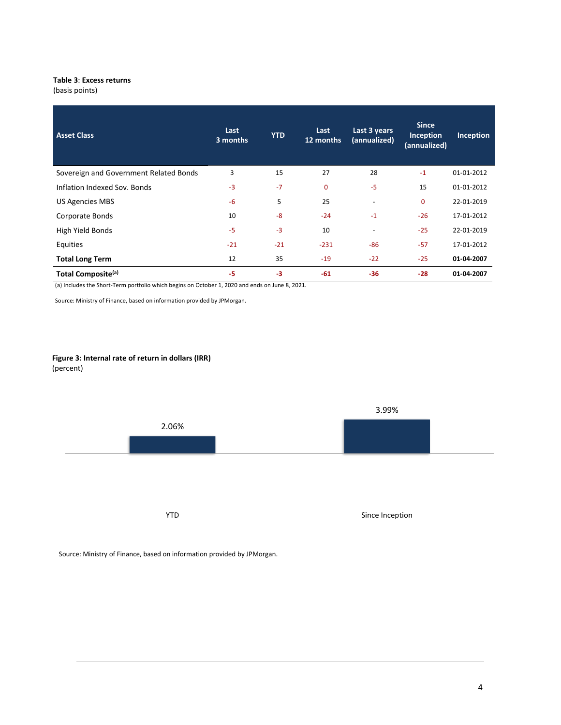#### **Table 3**: **Excess returns**

(basis points)

| <b>Asset Class</b>                     | Last<br>3 months | <b>YTD</b> | Last<br>12 months | Last 3 years<br>(annualized) | <b>Since</b><br>Inception<br>(annualized) | Inception  |
|----------------------------------------|------------------|------------|-------------------|------------------------------|-------------------------------------------|------------|
| Sovereign and Government Related Bonds | 3                | 15         | 27                | 28                           | $-1$                                      | 01-01-2012 |
| Inflation Indexed Sov. Bonds           | $-3$             | $-7$       | 0                 | $-5$                         | 15                                        | 01-01-2012 |
| <b>US Agencies MBS</b>                 | $-6$             | 5          | 25                | $\overline{\phantom{a}}$     | 0                                         | 22-01-2019 |
| Corporate Bonds                        | 10               | $-8$       | $-24$             | $-1$                         | $-26$                                     | 17-01-2012 |
| High Yield Bonds                       | $-5$             | $-3$       | 10                | $\overline{\phantom{a}}$     | $-25$                                     | 22-01-2019 |
| Equities                               | $-21$            | $-21$      | $-231$            | $-86$                        | $-57$                                     | 17-01-2012 |
| <b>Total Long Term</b>                 | 12               | 35         | $-19$             | $-22$                        | $-25$                                     | 01-04-2007 |
| Total Composite <sup>(a)</sup>         | -5               | $-3$       | $-61$             | $-36$                        | $-28$                                     | 01-04-2007 |

(a) Includes the Short-Term portfolio which begins on October 1, 2020 and ends on June 8, 2021.

Source: Ministry of Finance, based on information provided by JPMorgan.

#### **Figure 3: Internal rate of return in dollars (IRR)** (percent)

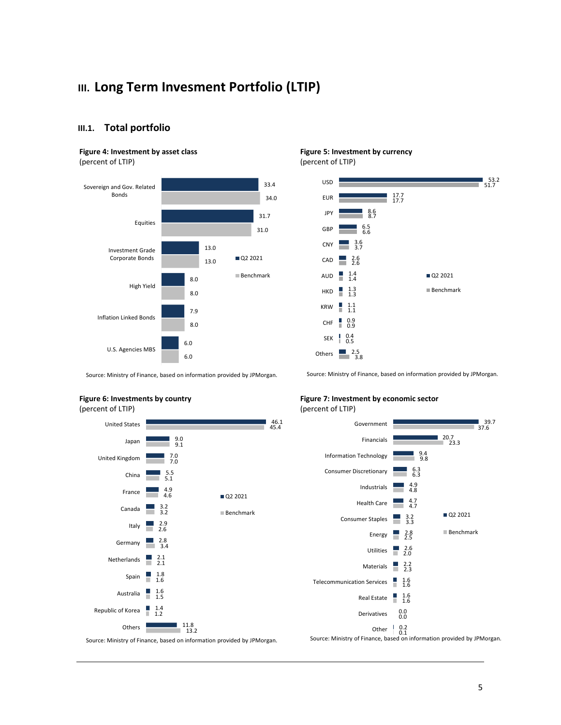# **III. Long Term Invesment Portfolio (LTIP)**

#### **III.1. Total portfolio**

#### **Figure 4: Investment by asset class**

(percent of LTIP)



# **Figure 5: Investment by currency**

(percent of LTIP)



Source: Ministry of Finance, based on information provided by JPMorgan.

Source: Ministry of Finance, based on information provided by JPMorgan.

#### **Figure 6: Investments by country** (percent of LTIP)



#### **Figure 7: Investment by economic sector** (percent of LTIP)

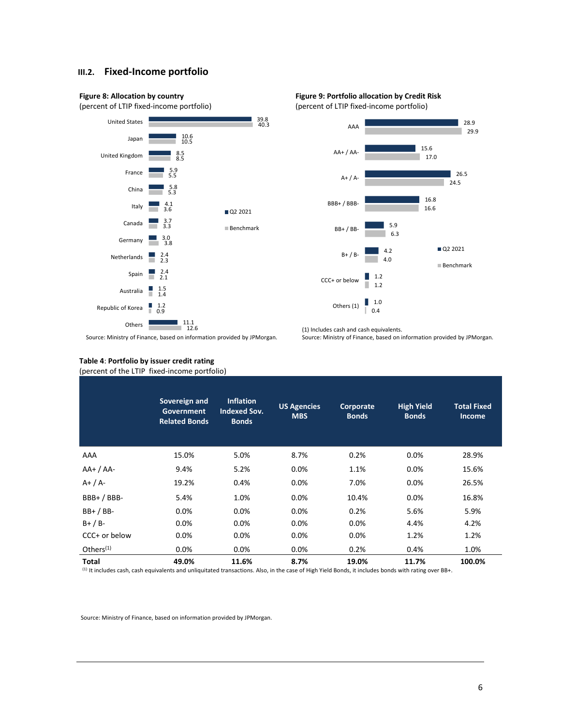#### **III.2. Fixed-Income portfolio**







(1) Includes cash and cash equivalents.



Source: Ministry of Finance, based on information provided by JPMorgan.

#### Source: Ministry of Finance, based on information provided by JPMorgan.

#### **Table 4**: **Portfolio by issuer credit rating** (percent of the LTIP fixed-income portfolio)

|                 | Sovereign and<br>Government<br><b>Related Bonds</b> | <b>Inflation</b><br><b>Indexed Sov.</b><br><b>Bonds</b> | <b>US Agencies</b><br><b>MBS</b> | Corporate<br><b>Bonds</b> | <b>High Yield</b><br><b>Bonds</b> | <b>Total Fixed</b><br><b>Income</b> |
|-----------------|-----------------------------------------------------|---------------------------------------------------------|----------------------------------|---------------------------|-----------------------------------|-------------------------------------|
| AAA             | 15.0%                                               | 5.0%                                                    | 8.7%                             | 0.2%                      | 0.0%                              | 28.9%                               |
| $AA+ / AA-$     | 9.4%                                                | 5.2%                                                    | 0.0%                             | 1.1%                      | 0.0%                              | 15.6%                               |
| $A+ / A-$       | 19.2%                                               | 0.4%                                                    | $0.0\%$                          | 7.0%                      | 0.0%                              | 26.5%                               |
| $BBB+ / BBB-$   | 5.4%                                                | 1.0%                                                    | $0.0\%$                          | 10.4%                     | 0.0%                              | 16.8%                               |
| $BB+ / BB-$     | 0.0%                                                | 0.0%                                                    | 0.0%                             | 0.2%                      | 5.6%                              | 5.9%                                |
| $B+ / B-$       | 0.0%                                                | 0.0%                                                    | $0.0\%$                          | 0.0%                      | 4.4%                              | 4.2%                                |
| $CCC+$ or below | 0.0%                                                | 0.0%                                                    | $0.0\%$                          | 0.0%                      | 1.2%                              | 1.2%                                |
| Others $(1)$    | 0.0%                                                | 0.0%                                                    | 0.0%                             | 0.2%                      | 0.4%                              | 1.0%                                |
| <b>Total</b>    | 49.0%                                               | 11.6%                                                   | 8.7%                             | 19.0%                     | 11.7%                             | 100.0%                              |

(1) It includes cash, cash equivalents and unliquitated transactions. Also, in the case of High Yield Bonds, it includes bonds with rating over BB+.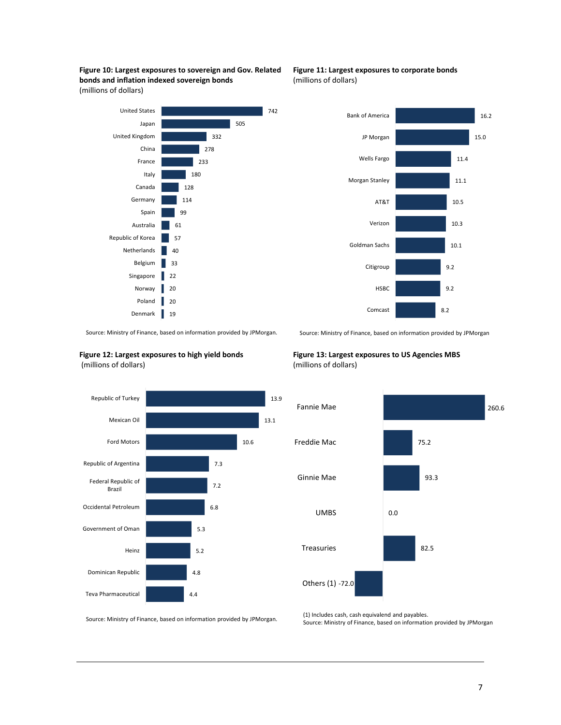







Source: Ministry of Finance, based on information provided by JPMorgan. .





**Figure 13: Largest exposures to US Agencies MBS**  (millions of dollars)



Source: Ministry of Finance, based on information provided by JPMorgan.

(1) Includes cash, cash equivalend and payables. Source: Ministry of Finance, based on information provided by JPMorgan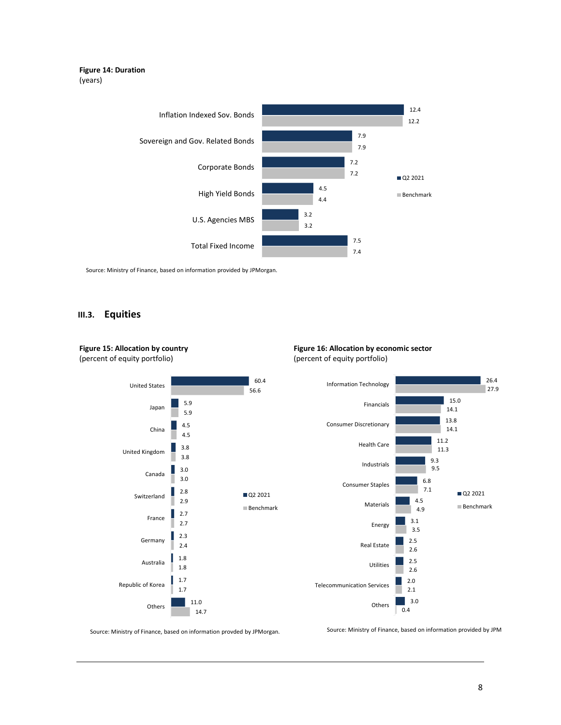#### **Figure 14: Duration** (years)



Source: Ministry of Finance, based on information provided by JPMorgan.

#### **III.3. Equities**

**Figure 15: Allocation by country** (percent of equity portfolio)



#### **Figure 16: Allocation by economic sector** (percent of equity portfolio)



Source: Ministry of Finance, based on information provded by JPMorgan.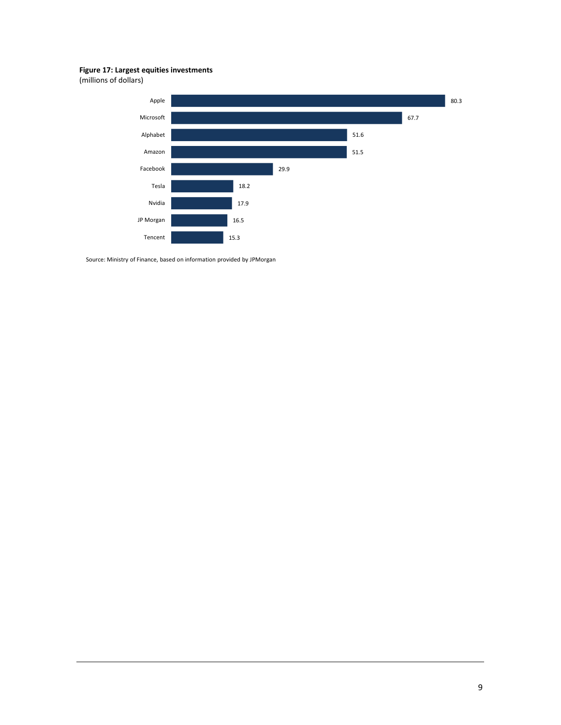#### **Figure 17: Largest equities investments**

(millions of dollars)

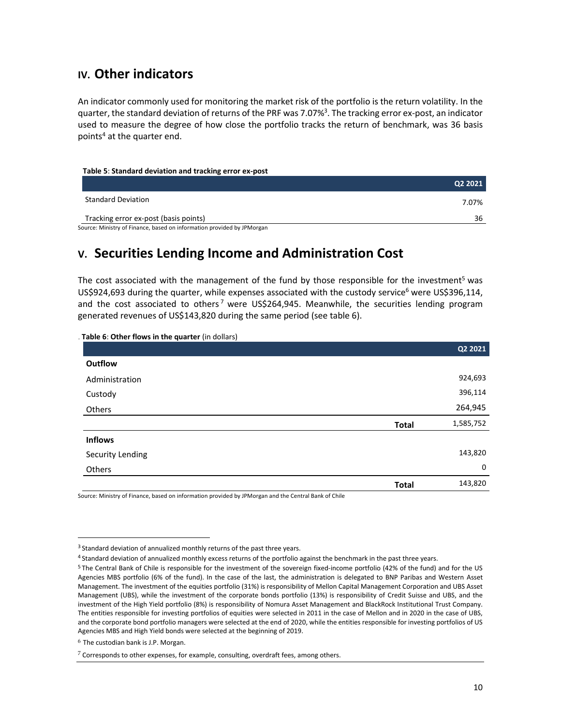# **IV. Other indicators**

An indicator commonly used for monitoring the market risk of the portfolio is the return volatility. In the quarter, the standard deviation of returns of the PRF was 7.07%<sup>3</sup>. The tracking error ex-post, an indicator used to measure the degree of how close the portfolio tracks the return of benchmark, was 36 basis points<sup>4</sup> at the quarter end.

#### **Table 5**: **Standard deviation and tracking error ex-post**

|                                                                        | 02 2021 |
|------------------------------------------------------------------------|---------|
| <b>Standard Deviation</b>                                              | 7.07%   |
| Tracking error ex-post (basis points)                                  | 36      |
| Source: Ministry of Finance, based on information provided by JPMorgan |         |

# **V. Securities Lending Income and Administration Cost**

The cost associated with the management of the fund by those responsible for the investment<sup>5</sup> was US\$924,693 during the quarter, while expenses associated with the custody service<sup>6</sup> were US\$396,114, and the cost associated to others<sup>7</sup> were US\$264,945. Meanwhile, the securities lending program generated revenues of US\$143,820 during the same period (see table 6).

| Table 6: Other flows in the quarter (in dollars) |              |           |
|--------------------------------------------------|--------------|-----------|
|                                                  |              | Q2 2021   |
| Outflow                                          |              |           |
| Administration                                   |              | 924,693   |
| Custody                                          |              | 396,114   |
| Others                                           |              | 264,945   |
|                                                  | <b>Total</b> | 1,585,752 |
| <b>Inflows</b>                                   |              |           |
| Security Lending                                 |              | 143,820   |
| Others                                           |              | 0         |
|                                                  | <b>Total</b> | 143,820   |

Source: Ministry of Finance, based on information provided by JPMorgan and the Central Bank of Chile

 $\overline{a}$ 

<sup>&</sup>lt;sup>3</sup> Standard deviation of annualized monthly returns of the past three years.

<sup>4</sup> Standard deviation of annualized monthly excess returns of the portfolio against the benchmark in the past three years.

<sup>5</sup> The Central Bank of Chile is responsible for the investment of the sovereign fixed-income portfolio (42% of the fund) and for the US Agencies MBS portfolio (6% of the fund). In the case of the last, the administration is delegated to BNP Paribas and Western Asset Management. The investment of the equities portfolio (31%) is responsibility of Mellon Capital Management Corporation and UBS Asset Management (UBS), while the investment of the corporate bonds portfolio (13%) is responsibility of Credit Suisse and UBS, and the investment of the High Yield portfolio (8%) is responsibility of Nomura Asset Management and BlackRock Institutional Trust Company. The entities responsible for investing portfolios of equities were selected in 2011 in the case of Mellon and in 2020 in the case of UBS, and the corporate bond portfolio managers were selected at the end of 2020, while the entities responsible for investing portfolios of US Agencies MBS and High Yield bonds were selected at the beginning of 2019.

 $6$  The custodian bank is J.P. Morgan.

 $7$  Corresponds to other expenses, for example, consulting, overdraft fees, among others.